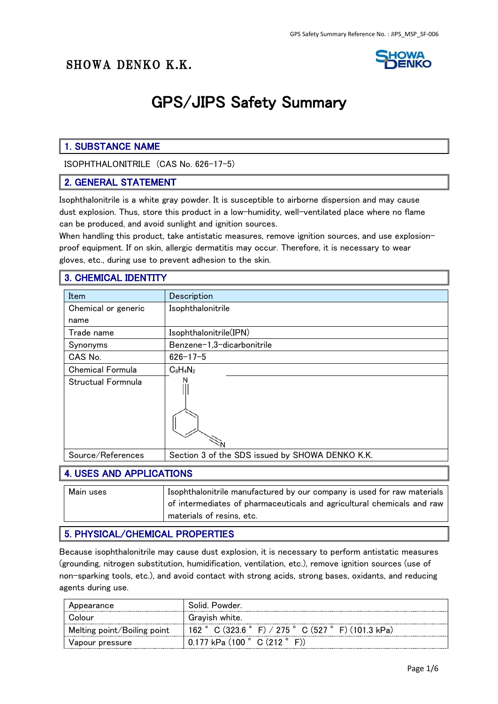

# GPS/JIPS Safety Summary

# 1. SUBSTANCE NAME

ISOPHTHALONITRILE (CAS No. 626-17-5)

#### 2. GENERAL STATEMENT

Isophthalonitrile is a white gray powder. It is susceptible to airborne dispersion and may cause dust explosion. Thus, store this product in a low-humidity, well-ventilated place where no flame can be produced, and avoid sunlight and ignition sources.

When handling this product, take antistatic measures, remove ignition sources, and use explosionproof equipment. If on skin, allergic dermatitis may occur. Therefore, it is necessary to wear gloves, etc., during use to prevent adhesion to the skin.

# 3. CHEMICAL IDENTITY

| Item                    | Description                                     |
|-------------------------|-------------------------------------------------|
| Chemical or generic     | Isophthalonitrile                               |
| name                    |                                                 |
| Trade name              | Isophthalonitrile(IPN)                          |
| Synonyms                | Benzene-1,3-dicarbonitrile                      |
| CAS No.                 | $626 - 17 - 5$                                  |
| <b>Chemical Formula</b> | $C_8H_4N_2$                                     |
| Structual Formnula      |                                                 |
| Source/References       | Section 3 of the SDS issued by SHOWA DENKO K.K. |

### 4. USES AND APPLICATIONS

| Main uses | Isophthalonitrile manufactured by our company is used for raw materials |
|-----------|-------------------------------------------------------------------------|
|           | of intermediates of pharmaceuticals and agricultural chemicals and raw  |
|           | materials of resins, etc.                                               |

### 5. PHYSICAL/CHEMICAL PROPERTIES

Because isophthalonitrile may cause dust explosion, it is necessary to perform antistatic measures (grounding, nitrogen substitution, humidification, ventilation, etc.), remove ignition sources (use of non-sparking tools, etc.), and avoid contact with strong acids, strong bases, oxidants, and reducing agents during use.

| Appearance                  | Solid, Powder                                       |
|-----------------------------|-----------------------------------------------------|
| Colour                      | Grayish white.                                      |
| Melting point/Boiling point | 162 ° C (323.6 ° F) / 275 ° C (527 ° F) (101.3 kPa) |
| Vapour pressure             | $0.177$ kPa (100 $^{\circ}$ C (212 $^{\circ}$ F))   |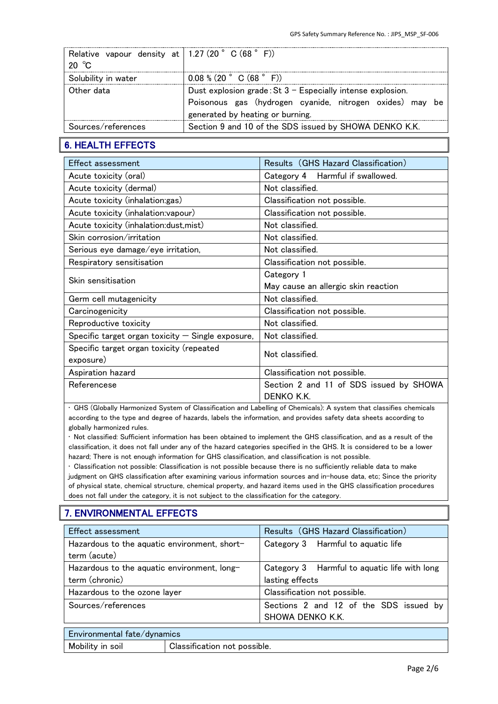| Relative vapour density at   $1.27$ (20° C (68° F))<br>20 $\degree$ C |                                                                                                                                                              |
|-----------------------------------------------------------------------|--------------------------------------------------------------------------------------------------------------------------------------------------------------|
| Solubility in water                                                   | $0.08$ % (20 ° C (68 ° F))                                                                                                                                   |
| Other data                                                            | Dust explosion grade: $St 3 - Especially$ intense explosion.<br>Poisonous gas (hydrogen cyanide, nitrogen oxides) may be<br>generated by heating or burning. |
| Sources/references                                                    | Section 9 and 10 of the SDS issued by SHOWA DENKO K.K.                                                                                                       |

# 6. HEALTH EFFECTS

| <b>Effect assessment</b>                            | Results (GHS Hazard Classification)     |
|-----------------------------------------------------|-----------------------------------------|
| Acute toxicity (oral)                               | Category 4 Harmful if swallowed.        |
| Acute toxicity (dermal)                             | Not classified.                         |
| Acute toxicity (inhalation:gas)                     | Classification not possible.            |
| Acute toxicity (inhalation: vapour)                 | Classification not possible.            |
| Acute toxicity (inhalation: dust, mist)             | Not classified.                         |
| Skin corrosion/irritation                           | Not classified.                         |
| Serious eye damage/eye irritation,                  | Not classified.                         |
| Respiratory sensitisation                           | Classification not possible.            |
|                                                     | Category 1                              |
| Skin sensitisation                                  | May cause an allergic skin reaction     |
| Germ cell mutagenicity                              | Not classified.                         |
| Carcinogenicity                                     | Classification not possible.            |
| Reproductive toxicity                               | Not classified.                         |
| Specific target organ toxicity $-$ Single exposure, | Not classified.                         |
| Specific target organ toxicity (repeated            | Not classified.                         |
| exposure)                                           |                                         |
| Aspiration hazard                                   | Classification not possible.            |
| Referencese                                         | Section 2 and 11 of SDS issued by SHOWA |
|                                                     | DENKO K.K.                              |

• GHS (Globally Harmonized System of Classification and Labelling of Chemicals): A system that classifies chemicals according to the type and degree of hazards, labels the information, and provides safety data sheets according to globally harmonized rules.

• Not classified: Sufficient information has been obtained to implement the GHS classification, and as a result of the classification, it does not fall under any of the hazard categories specified in the GHS. It is considered to be a lower hazard; There is not enough information for GHS classification, and classification is not possible.

• Classification not possible: Classification is not possible because there is no sufficiently reliable data to make judgment on GHS classification after examining various information sources and in-house data, etc; Since the priority of physical state, chemical structure, chemical property, and hazard items used in the GHS classification procedures does not fall under the category, it is not subject to the classification for the category.

# 7. ENVIRONMENTAL EFFECTS

| Effect assessment                            |                              | Results (GHS Hazard Classification)          |
|----------------------------------------------|------------------------------|----------------------------------------------|
| Hazardous to the aquatic environment, short- |                              | Category 3 Harmful to aquatic life           |
| term (acute)                                 |                              |                                              |
| Hazardous to the aquatic environment, long-  |                              | Category 3 Harmful to aquatic life with long |
| term (chronic)                               |                              | lasting effects                              |
| Hazardous to the ozone layer                 |                              | Classification not possible.                 |
| Sources/references                           |                              | Sections 2 and 12 of the SDS issued by       |
|                                              |                              | SHOWA DENKO K.K.                             |
| Environmental fate/dynamics                  |                              |                                              |
| Mobility in soil                             | Classification not possible. |                                              |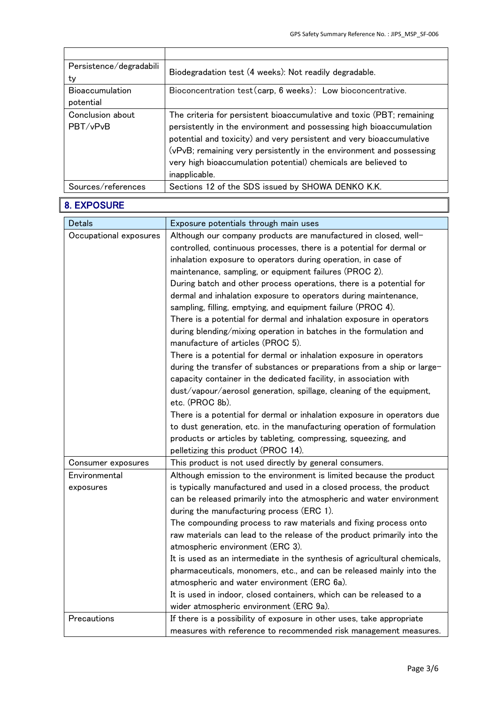| Persistence/degradabili<br>ty       | Biodegradation test (4 weeks): Not readily degradable.                                                                                                                                                                                                                                                                                                                          |
|-------------------------------------|---------------------------------------------------------------------------------------------------------------------------------------------------------------------------------------------------------------------------------------------------------------------------------------------------------------------------------------------------------------------------------|
| <b>Bioaccumulation</b><br>potential | Bioconcentration test (carp, 6 weeks): Low bioconcentrative.                                                                                                                                                                                                                                                                                                                    |
| Conclusion about<br>PBT/vPvB        | The criteria for persistent bioaccumulative and toxic (PBT; remaining<br>persistently in the environment and possessing high bioaccumulation<br>potential and toxicity) and very persistent and very bioaccumulative<br>(vPvB; remaining very persistently in the environment and possessing<br>very high bioaccumulation potential) chemicals are believed to<br>inapplicable. |
| Sources/references                  | Sections 12 of the SDS issued by SHOWA DENKO K.K.                                                                                                                                                                                                                                                                                                                               |

# 8. EXPOSURE

| <b>Detals</b>          | Exposure potentials through main uses                                                                                                        |
|------------------------|----------------------------------------------------------------------------------------------------------------------------------------------|
| Occupational exposures | Although our company products are manufactured in closed, well-                                                                              |
|                        | controlled, continuous processes, there is a potential for dermal or                                                                         |
|                        | inhalation exposure to operators during operation, in case of                                                                                |
|                        | maintenance, sampling, or equipment failures (PROC 2).                                                                                       |
|                        | During batch and other process operations, there is a potential for                                                                          |
|                        | dermal and inhalation exposure to operators during maintenance,                                                                              |
|                        | sampling, filling, emptying, and equipment failure (PROC 4).                                                                                 |
|                        | There is a potential for dermal and inhalation exposure in operators                                                                         |
|                        | during blending/mixing operation in batches in the formulation and<br>manufacture of articles (PROC 5).                                      |
|                        | There is a potential for dermal or inhalation exposure in operators                                                                          |
|                        | during the transfer of substances or preparations from a ship or large-<br>capacity container in the dedicated facility, in association with |
|                        | dust/vapour/aerosol generation, spillage, cleaning of the equipment,                                                                         |
|                        | etc. (PROC 8b).                                                                                                                              |
|                        | There is a potential for dermal or inhalation exposure in operators due                                                                      |
|                        | to dust generation, etc. in the manufacturing operation of formulation                                                                       |
|                        | products or articles by tableting, compressing, squeezing, and                                                                               |
|                        | pelletizing this product (PROC 14).                                                                                                          |
| Consumer exposures     | This product is not used directly by general consumers.                                                                                      |
| Environmental          | Although emission to the environment is limited because the product                                                                          |
| exposures              | is typically manufactured and used in a closed process, the product                                                                          |
|                        | can be released primarily into the atmospheric and water environment                                                                         |
|                        | during the manufacturing process (ERC 1).                                                                                                    |
|                        | The compounding process to raw materials and fixing process onto                                                                             |
|                        | raw materials can lead to the release of the product primarily into the                                                                      |
|                        | atmospheric environment (ERC 3).                                                                                                             |
|                        | It is used as an intermediate in the synthesis of agricultural chemicals,                                                                    |
|                        | pharmaceuticals, monomers, etc., and can be released mainly into the                                                                         |
|                        | atmospheric and water environment (ERC 6a).                                                                                                  |
|                        | It is used in indoor, closed containers, which can be released to a                                                                          |
|                        | wider atmospheric environment (ERC 9a).                                                                                                      |
| Precautions            | If there is a possibility of exposure in other uses, take appropriate                                                                        |
|                        | measures with reference to recommended risk management measures.                                                                             |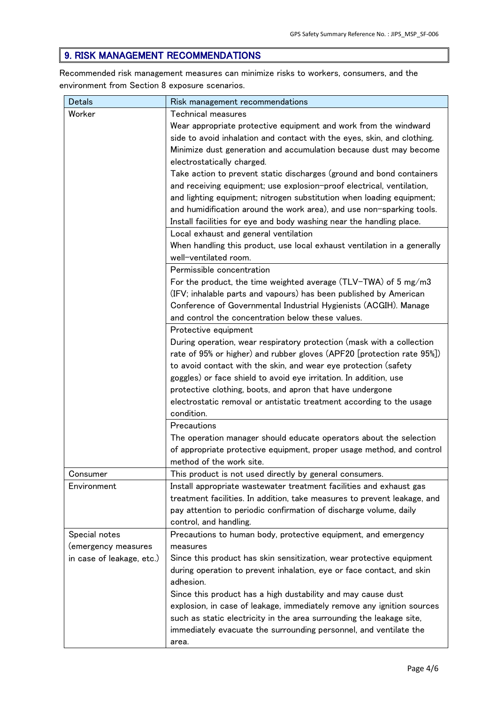# 9. RISK MANAGEMENT RECOMMENDATIONS

Recommended risk management measures can minimize risks to workers, consumers, and the environment from Section 8 exposure scenarios.

| <b>Detals</b>             | Risk management recommendations                                          |
|---------------------------|--------------------------------------------------------------------------|
| Worker                    | Technical measures                                                       |
|                           | Wear appropriate protective equipment and work from the windward         |
|                           | side to avoid inhalation and contact with the eyes, skin, and clothing.  |
|                           | Minimize dust generation and accumulation because dust may become        |
|                           | electrostatically charged.                                               |
|                           | Take action to prevent static discharges (ground and bond containers     |
|                           | and receiving equipment; use explosion-proof electrical, ventilation,    |
|                           | and lighting equipment; nitrogen substitution when loading equipment;    |
|                           | and humidification around the work area), and use non-sparking tools.    |
|                           | Install facilities for eye and body washing near the handling place.     |
|                           | Local exhaust and general ventilation                                    |
|                           | When handling this product, use local exhaust ventilation in a generally |
|                           | well-ventilated room.                                                    |
|                           | Permissible concentration                                                |
|                           | For the product, the time weighted average $(TLV-TWA)$ of 5 mg/m3        |
|                           | (IFV; inhalable parts and vapours) has been published by American        |
|                           | Conference of Governmental Industrial Hygienists (ACGIH). Manage         |
|                           | and control the concentration below these values.                        |
|                           | Protective equipment                                                     |
|                           | During operation, wear respiratory protection (mask with a collection    |
|                           | rate of 95% or higher) and rubber gloves (APF20 [protection rate 95%])   |
|                           | to avoid contact with the skin, and wear eye protection (safety          |
|                           | goggles) or face shield to avoid eye irritation. In addition, use        |
|                           | protective clothing, boots, and apron that have undergone                |
|                           | electrostatic removal or antistatic treatment according to the usage     |
|                           | condition.                                                               |
|                           | Precautions                                                              |
|                           | The operation manager should educate operators about the selection       |
|                           | of appropriate protective equipment, proper usage method, and control    |
|                           | method of the work site.                                                 |
| Consumer                  | This product is not used directly by general consumers.                  |
| Environment               | Install appropriate wastewater treatment facilities and exhaust gas      |
|                           | treatment facilities. In addition, take measures to prevent leakage, and |
|                           | pay attention to periodic confirmation of discharge volume, daily        |
|                           | control, and handling.                                                   |
| Special notes             | Precautions to human body, protective equipment, and emergency           |
| (emergency measures       | measures                                                                 |
| in case of leakage, etc.) | Since this product has skin sensitization, wear protective equipment     |
|                           | during operation to prevent inhalation, eye or face contact, and skin    |
|                           | adhesion.                                                                |
|                           | Since this product has a high dustability and may cause dust             |
|                           | explosion, in case of leakage, immediately remove any ignition sources   |
|                           | such as static electricity in the area surrounding the leakage site,     |
|                           | immediately evacuate the surrounding personnel, and ventilate the        |
|                           | area.                                                                    |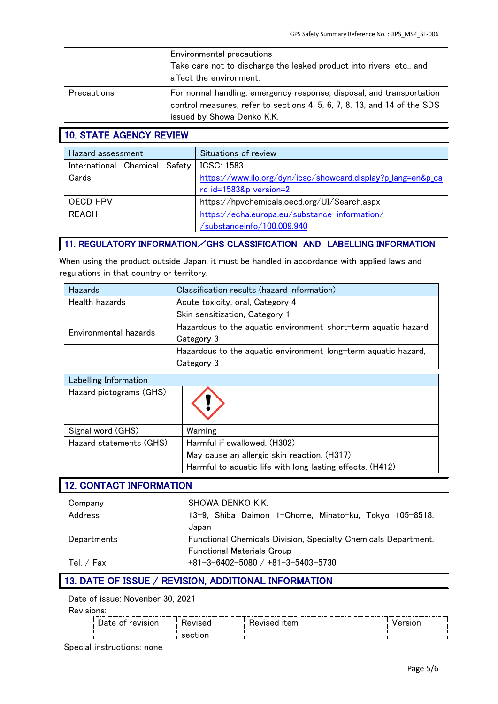|                    | Environmental precautions<br>Take care not to discharge the leaked product into rivers, etc., and<br>affect the environment.                                                    |
|--------------------|---------------------------------------------------------------------------------------------------------------------------------------------------------------------------------|
| <b>Precautions</b> | For normal handling, emergency response, disposal, and transportation<br>control measures, refer to sections 4, 5, 6, 7, 8, 13, and 14 of the SDS<br>issued by Showa Denko K.K. |

# 10. STATE AGENCY REVIEW

| Hazard assessment             | Situations of review                                         |
|-------------------------------|--------------------------------------------------------------|
| International Chemical Safety | <b>ICSC: 1583</b>                                            |
| Cards                         | https://www.ilo.org/dyn/icsc/showcard.display?p_lang=en&p_ca |
|                               | rd_id=1583&p_version=2                                       |
| OECD HPV                      | https://hpvchemicals.oecd.org/UI/Search.aspx                 |
| <b>REACH</b>                  | https://echa.europa.eu/substance-information/-               |
|                               | /substanceinfo/100.009.940                                   |

### 11. REGULATORY INFORMATION/GHS CLASSIFICATION AND LABELLING INFORMATION

When using the product outside Japan, it must be handled in accordance with applied laws and regulations in that country or territory.

| Hazards                        | Classification results (hazard information)                     |  |
|--------------------------------|-----------------------------------------------------------------|--|
| <b>Health hazards</b>          | Acute toxicity, oral, Category 4                                |  |
|                                | Skin sensitization, Category 1                                  |  |
|                                | Hazardous to the aquatic environment short-term aquatic hazard, |  |
| Environmental hazards          | Category 3                                                      |  |
|                                | Hazardous to the aquatic environment long-term aquatic hazard,  |  |
|                                | Category 3                                                      |  |
| Labelling Information          |                                                                 |  |
| Hazard pictograms (GHS)        |                                                                 |  |
| Signal word (GHS)              | Warning                                                         |  |
| Hazard statements (GHS)        | Harmful if swallowed. (H302)                                    |  |
|                                | May cause an allergic skin reaction. (H317)                     |  |
|                                | Harmful to aquatic life with long lasting effects. (H412)       |  |
| <b>12. CONTACT INFORMATION</b> |                                                                 |  |
| Company                        | SHOWA DENKO K.K.                                                |  |
| Address                        | 13-9, Shiba Daimon 1-Chome, Minato-ku, Tokyo 105-8518,          |  |
|                                | Japan                                                           |  |
| Departments                    | Functional Chemicals Division, Specialty Chemicals Department,  |  |
|                                |                                                                 |  |

Tel. / Fax +81-3-6402-5080 / +81-3-5403-5730

### 13. DATE OF ISSUE / REVISION, ADDITIONAL INFORMATION

Functional Materials Group

Date of issue: Novenber 30, 2021

Revisions:

Special instructions: none